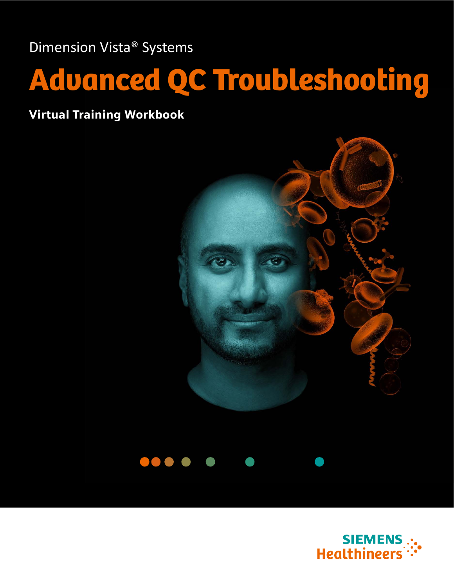Dimension Vista® Systems

# Advanced QC Troubleshooting

Virtual Training Workbook





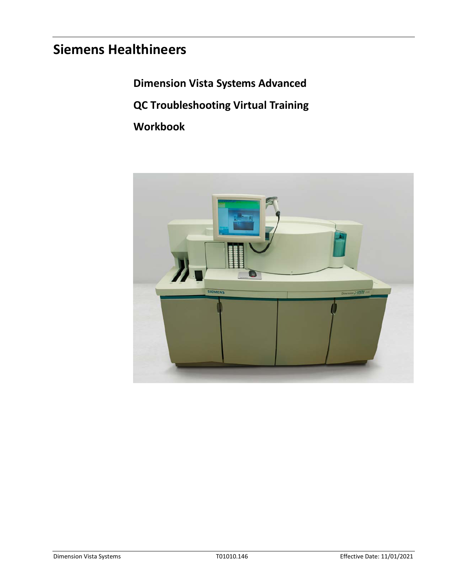# **Siemens Healthineers**

**Dimension Vista Systems Advanced** 

**QC Troubleshooting Virtual Training** 

**Workbook** 

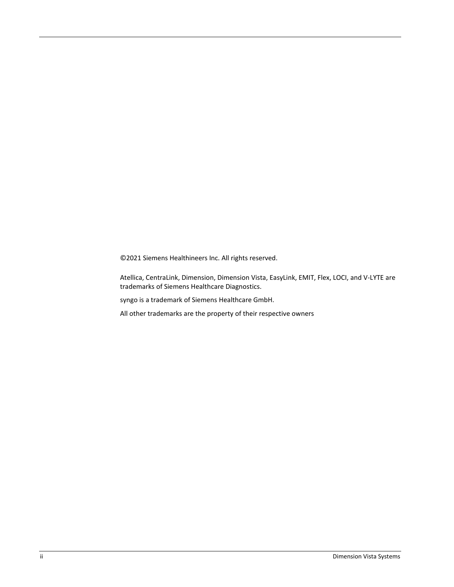©2021 Siemens Healthineers Inc. All rights reserved.

Atellica, CentraLink, Dimension, Dimension Vista, EasyLink, EMIT, Flex, LOCI, and V-LYTE are trademarks of Siemens Healthcare Diagnostics.

syngo is a trademark of Siemens Healthcare GmbH.

All other trademarks are the property of their respective owners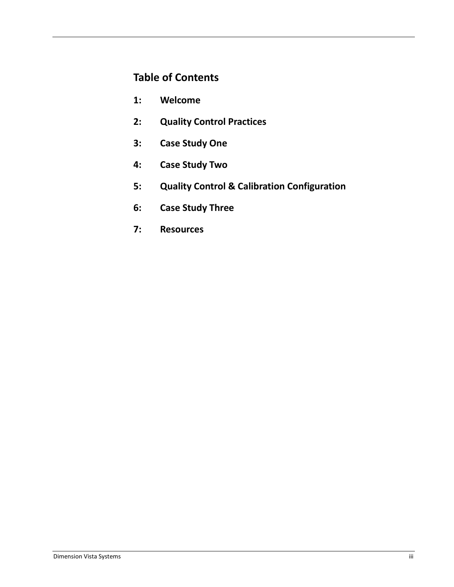# **Table of Contents**

- **1: Welcome**
- **2: Quality Control Practices**
- **3: Case Study One**
- **4: Case Study Two**
- **5: Quality Control & Calibration Configuration**
- **6: Case Study Three**
- **7: Resources**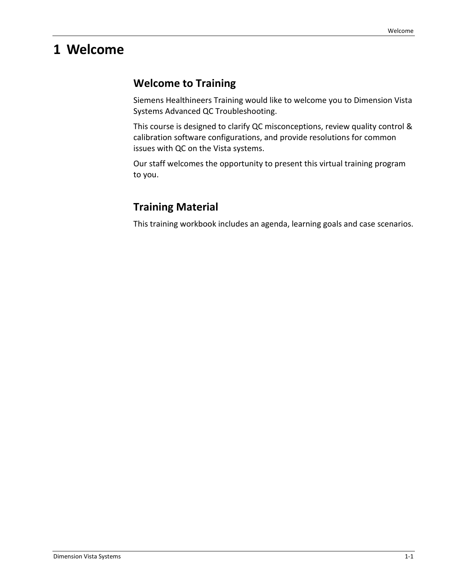# **1 Welcome**

# **Welcome to Training**

Siemens Healthineers Training would like to welcome you to Dimension Vista Systems Advanced QC Troubleshooting.

This course is designed to clarify QC misconceptions, review quality control & calibration software configurations, and provide resolutions for common issues with QC on the Vista systems.

Our staff welcomes the opportunity to present this virtual training program to you.

# **Training Material**

This training workbook includes an agenda, learning goals and case scenarios.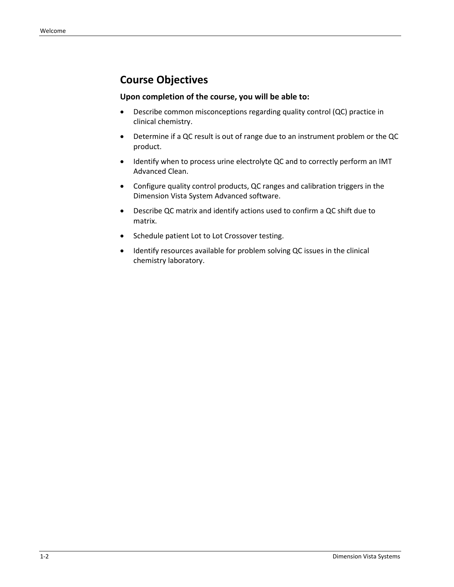# **Course Objectives**

#### **Upon completion of the course, you will be able to:**

- Describe common misconceptions regarding quality control (QC) practice in clinical chemistry.
- Determine if a QC result is out of range due to an instrument problem or the QC product.
- Identify when to process urine electrolyte QC and to correctly perform an IMT Advanced Clean.
- Configure quality control products, QC ranges and calibration triggers in the Dimension Vista System Advanced software.
- Describe QC matrix and identify actions used to confirm a QC shift due to matrix.
- Schedule patient Lot to Lot Crossover testing.
- Identify resources available for problem solving QC issues in the clinical chemistry laboratory.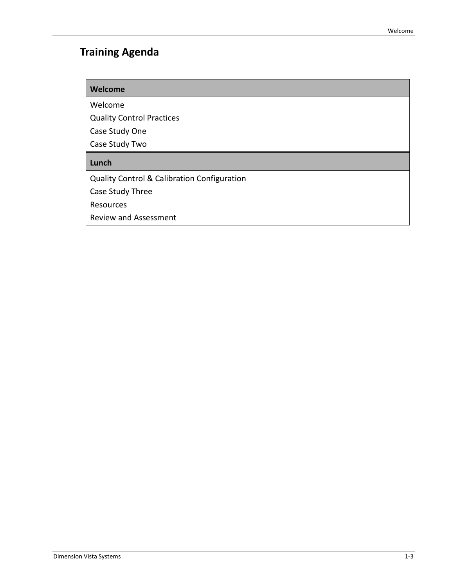# **Training Agenda**

#### **Welcome**

Welcome

Quality Control Practices

Case Study One

Case Study Two

#### **Lunch**

Quality Control & Calibration Configuration

Case Study Three

Resources

Review and Assessment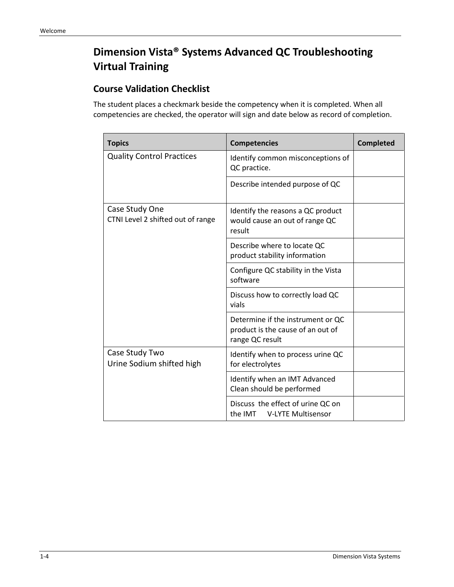# **Dimension Vista® Systems Advanced QC Troubleshooting Virtual Training**

#### **Course Validation Checklist**

The student places a checkmark beside the competency when it is completed. When all competencies are checked, the operator will sign and date below as record of completion.

| <b>Topics</b>                                       | <b>Competencies</b>                                                                       | <b>Completed</b> |
|-----------------------------------------------------|-------------------------------------------------------------------------------------------|------------------|
| <b>Quality Control Practices</b>                    | Identify common misconceptions of<br>QC practice.                                         |                  |
|                                                     | Describe intended purpose of QC                                                           |                  |
| Case Study One<br>CTNI Level 2 shifted out of range | Identify the reasons a QC product<br>would cause an out of range QC<br>result             |                  |
|                                                     | Describe where to locate QC<br>product stability information                              |                  |
|                                                     | Configure QC stability in the Vista<br>software                                           |                  |
|                                                     | Discuss how to correctly load QC<br>vials                                                 |                  |
|                                                     | Determine if the instrument or QC<br>product is the cause of an out of<br>range QC result |                  |
| Case Study Two<br>Urine Sodium shifted high         | Identify when to process urine QC<br>for electrolytes                                     |                  |
|                                                     | Identify when an IMT Advanced<br>Clean should be performed                                |                  |
|                                                     | Discuss the effect of urine QC on<br>the IMT<br><b>V-LYTE Multisensor</b>                 |                  |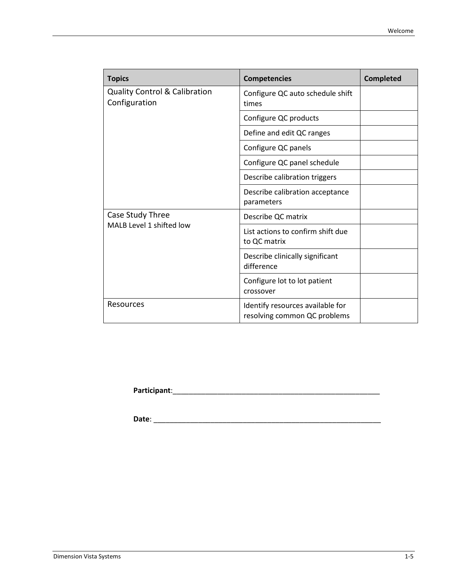| <b>Topics</b>                                             | <b>Competencies</b>                                              | <b>Completed</b> |
|-----------------------------------------------------------|------------------------------------------------------------------|------------------|
| <b>Quality Control &amp; Calibration</b><br>Configuration | Configure QC auto schedule shift<br>times                        |                  |
|                                                           | Configure QC products                                            |                  |
|                                                           | Define and edit QC ranges                                        |                  |
|                                                           | Configure QC panels                                              |                  |
|                                                           | Configure QC panel schedule                                      |                  |
|                                                           | Describe calibration triggers                                    |                  |
|                                                           | Describe calibration acceptance<br>parameters                    |                  |
| Case Study Three                                          | Describe QC matrix                                               |                  |
| MALB Level 1 shifted low                                  | List actions to confirm shift due<br>to QC matrix                |                  |
|                                                           | Describe clinically significant<br>difference                    |                  |
|                                                           | Configure lot to lot patient<br>crossover                        |                  |
| Resources                                                 | Identify resources available for<br>resolving common QC problems |                  |

**Participant**:\_\_\_\_\_\_\_\_\_\_\_\_\_\_\_\_\_\_\_\_\_\_\_\_\_\_\_\_\_\_\_\_\_\_\_\_\_\_\_\_\_\_\_\_\_\_\_\_\_\_\_

**Date**: \_\_\_\_\_\_\_\_\_\_\_\_\_\_\_\_\_\_\_\_\_\_\_\_\_\_\_\_\_\_\_\_\_\_\_\_\_\_\_\_\_\_\_\_\_\_\_\_\_\_\_\_\_\_\_\_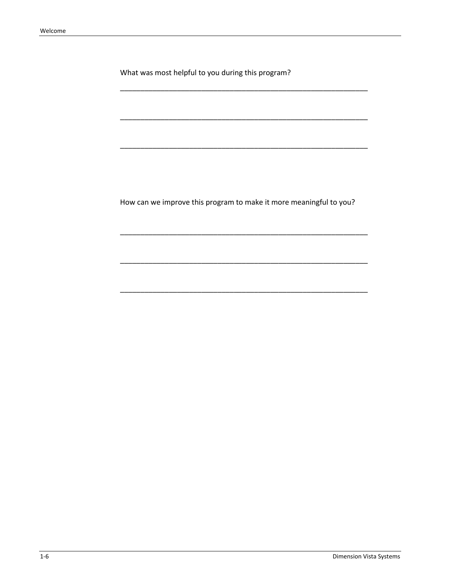What was most helpful to you during this program?

How can we improve this program to make it more meaningful to you?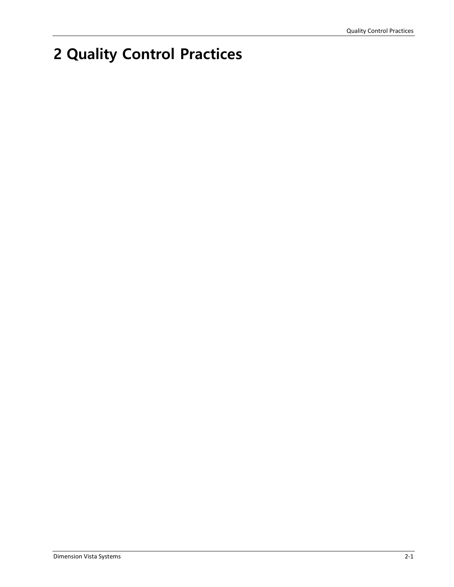# **2 Quality Control Practices**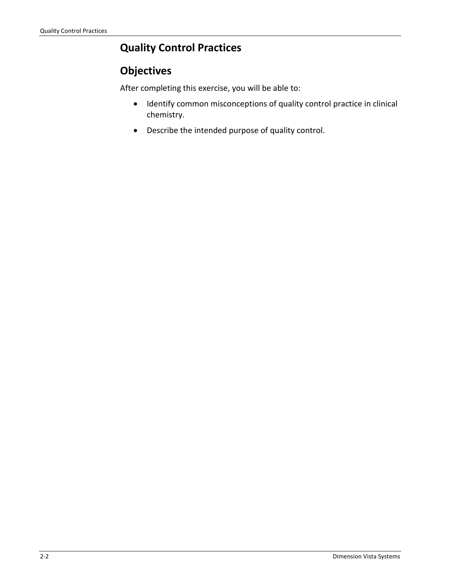# **Quality Control Practices**

# **Objectives**

After completing this exercise, you will be able to:

- Identify common misconceptions of quality control practice in clinical chemistry.
- Describe the intended purpose of quality control.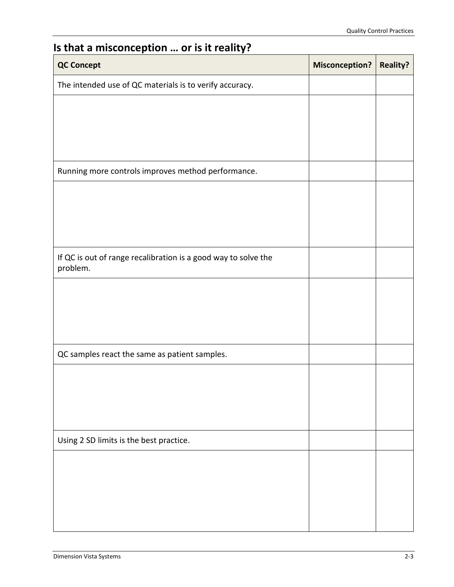# **Is that a misconception … or is it reality?**

| <b>QC Concept</b>                                                          | <b>Misconception?</b> | <b>Reality?</b> |
|----------------------------------------------------------------------------|-----------------------|-----------------|
| The intended use of QC materials is to verify accuracy.                    |                       |                 |
|                                                                            |                       |                 |
|                                                                            |                       |                 |
|                                                                            |                       |                 |
| Running more controls improves method performance.                         |                       |                 |
|                                                                            |                       |                 |
|                                                                            |                       |                 |
|                                                                            |                       |                 |
| If QC is out of range recalibration is a good way to solve the<br>problem. |                       |                 |
|                                                                            |                       |                 |
|                                                                            |                       |                 |
|                                                                            |                       |                 |
| QC samples react the same as patient samples.                              |                       |                 |
|                                                                            |                       |                 |
|                                                                            |                       |                 |
|                                                                            |                       |                 |
| Using 2 SD limits is the best practice.                                    |                       |                 |
|                                                                            |                       |                 |
|                                                                            |                       |                 |
|                                                                            |                       |                 |
|                                                                            |                       |                 |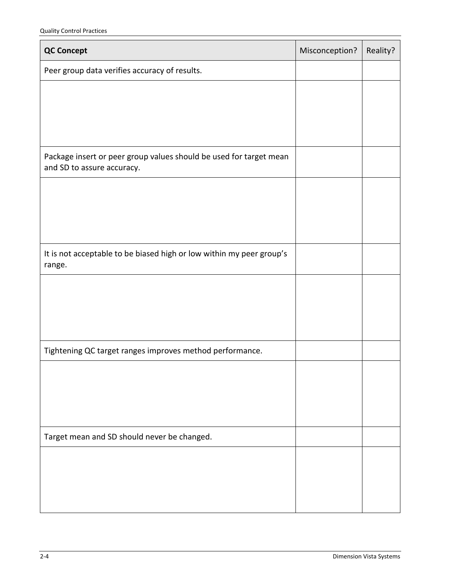| <b>QC Concept</b>                                                                                | Misconception? | Reality? |
|--------------------------------------------------------------------------------------------------|----------------|----------|
| Peer group data verifies accuracy of results.                                                    |                |          |
|                                                                                                  |                |          |
|                                                                                                  |                |          |
|                                                                                                  |                |          |
| Package insert or peer group values should be used for target mean<br>and SD to assure accuracy. |                |          |
|                                                                                                  |                |          |
|                                                                                                  |                |          |
|                                                                                                  |                |          |
| It is not acceptable to be biased high or low within my peer group's<br>range.                   |                |          |
|                                                                                                  |                |          |
|                                                                                                  |                |          |
|                                                                                                  |                |          |
| Tightening QC target ranges improves method performance.                                         |                |          |
|                                                                                                  |                |          |
|                                                                                                  |                |          |
|                                                                                                  |                |          |
| Target mean and SD should never be changed.                                                      |                |          |
|                                                                                                  |                |          |
|                                                                                                  |                |          |
|                                                                                                  |                |          |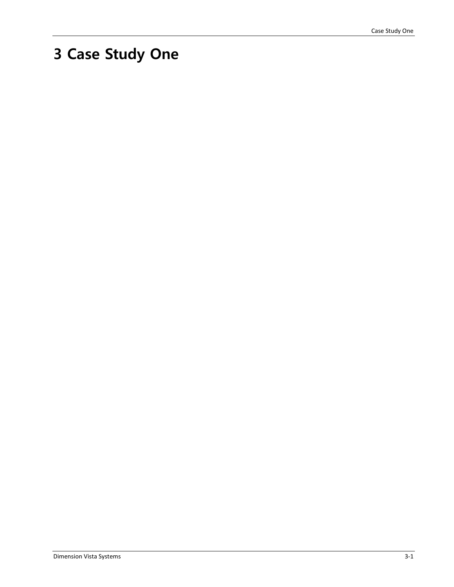# **3 Case Study One**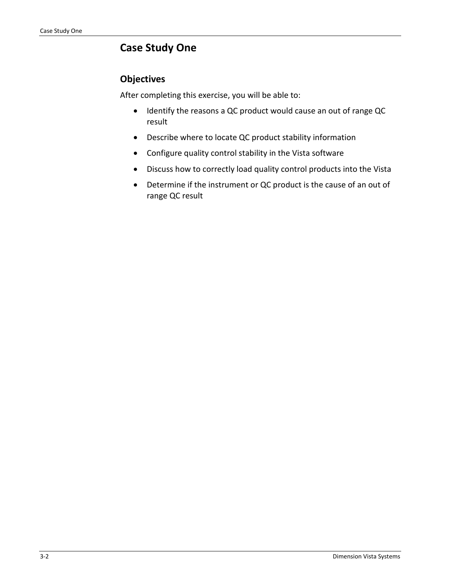# **Case Study One**

#### **Objectives**

After completing this exercise, you will be able to:

- Identify the reasons a QC product would cause an out of range QC result
- Describe where to locate QC product stability information
- Configure quality control stability in the Vista software
- Discuss how to correctly load quality control products into the Vista
- Determine if the instrument or QC product is the cause of an out of range QC result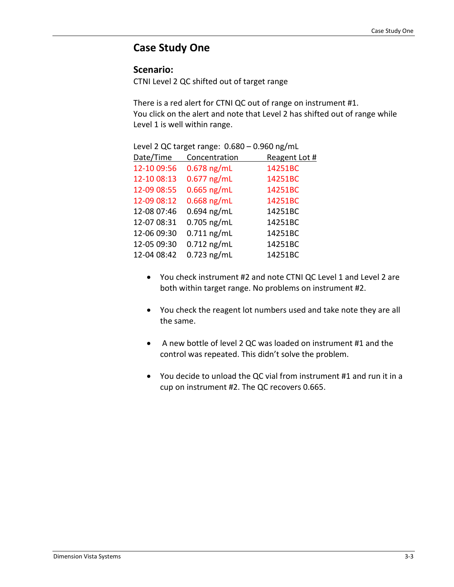#### **Case Study One**

#### **Scenario:**

CTNI Level 2 QC shifted out of target range

There is a red alert for CTNI QC out of range on instrument #1. You click on the alert and note that Level 2 has shifted out of range while Level 1 is well within range.

|             |               | 0.000 DN D    |
|-------------|---------------|---------------|
| Date/Time   | Concentration | Reagent Lot # |
| 12-10 09:56 | $0.678$ ng/mL | 14251BC       |
| 12-10 08:13 | $0.677$ ng/mL | 14251BC       |
| 12-09 08:55 | $0.665$ ng/mL | 14251BC       |
| 12-09 08:12 | $0.668$ ng/mL | 14251BC       |
| 12-08 07:46 | $0.694$ ng/mL | 14251BC       |
| 12-07 08:31 | $0.705$ ng/mL | 14251BC       |
| 12-06 09:30 | $0.711$ ng/mL | 14251BC       |
| 12-05 09:30 | $0.712$ ng/mL | 14251BC       |
| 12-04 08:42 | $0.723$ ng/mL | 14251BC       |
|             |               |               |

Level 2 QC target range: 0.680 – 0.960 ng/mL

- You check instrument #2 and note CTNI QC Level 1 and Level 2 are both within target range. No problems on instrument #2.
- You check the reagent lot numbers used and take note they are all the same.
- A new bottle of level 2 QC was loaded on instrument #1 and the control was repeated. This didn't solve the problem.
- You decide to unload the QC vial from instrument #1 and run it in a cup on instrument #2. The QC recovers 0.665.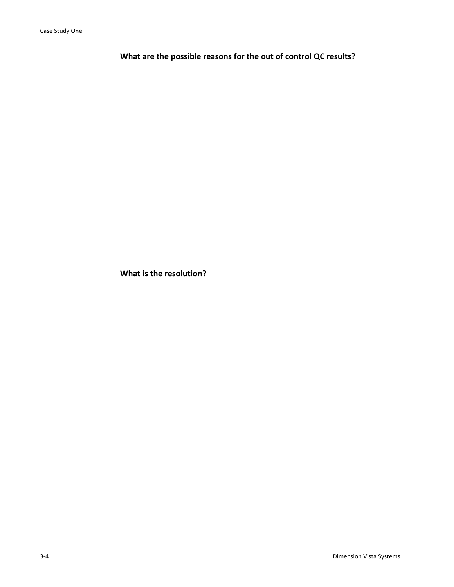**What are the possible reasons for the out of control QC results?** 

**What is the resolution?**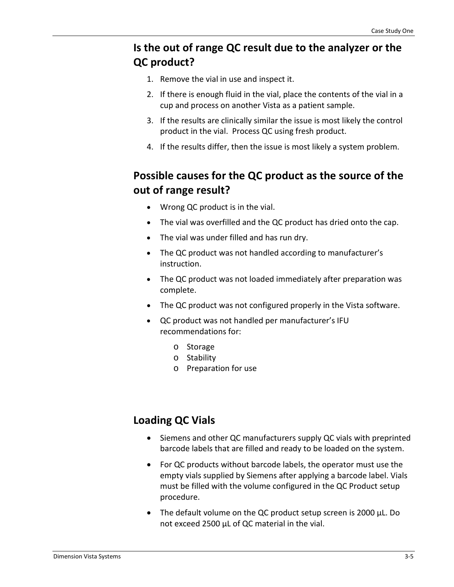# **Is the out of range QC result due to the analyzer or the QC product?**

- 1. Remove the vial in use and inspect it.
- 2. If there is enough fluid in the vial, place the contents of the vial in a cup and process on another Vista as a patient sample.
- 3. If the results are clinically similar the issue is most likely the control product in the vial. Process QC using fresh product.
- 4. If the results differ, then the issue is most likely a system problem.

# **Possible causes for the QC product as the source of the out of range result?**

- Wrong QC product is in the vial.
- The vial was overfilled and the QC product has dried onto the cap.
- The vial was under filled and has run dry.
- The QC product was not handled according to manufacturer's instruction.
- The QC product was not loaded immediately after preparation was complete.
- The QC product was not configured properly in the Vista software.
- QC product was not handled per manufacturer's IFU recommendations for:
	- o Storage
	- o Stability
	- o Preparation for use

### **Loading QC Vials**

- Siemens and other QC manufacturers supply QC vials with preprinted barcode labels that are filled and ready to be loaded on the system.
- For QC products without barcode labels, the operator must use the empty vials supplied by Siemens after applying a barcode label. Vials must be filled with the volume configured in the QC Product setup procedure.
- The default volume on the QC product setup screen is 2000 μL. Do not exceed 2500 μL of QC material in the vial.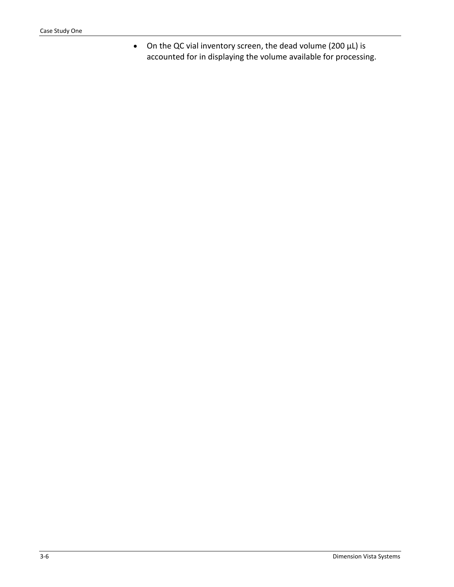• On the QC vial inventory screen, the dead volume (200 μL) is accounted for in displaying the volume available for processing.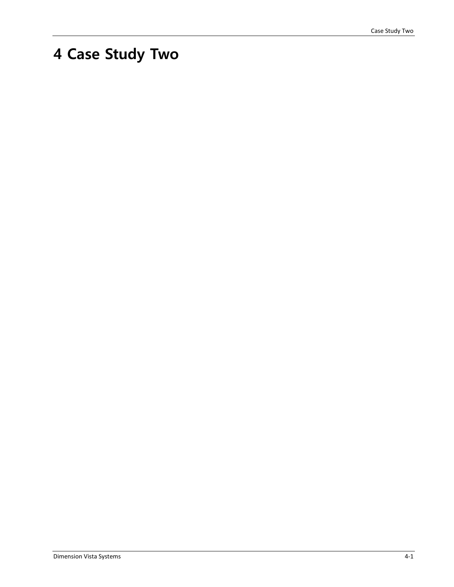# **4 Case Study Two**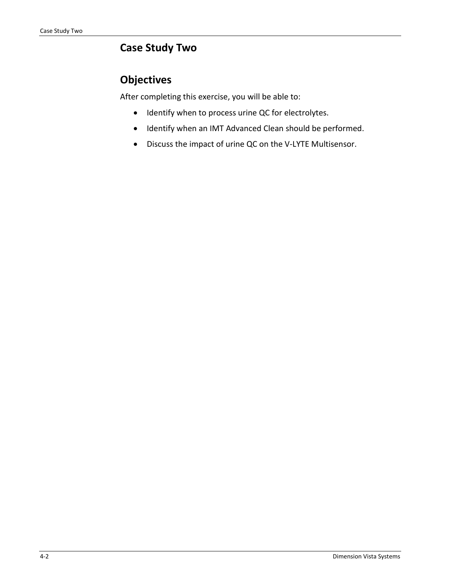# **Case Study Two**

# **Objectives**

After completing this exercise, you will be able to:

- Identify when to process urine QC for electrolytes.
- Identify when an IMT Advanced Clean should be performed.
- Discuss the impact of urine QC on the V-LYTE Multisensor.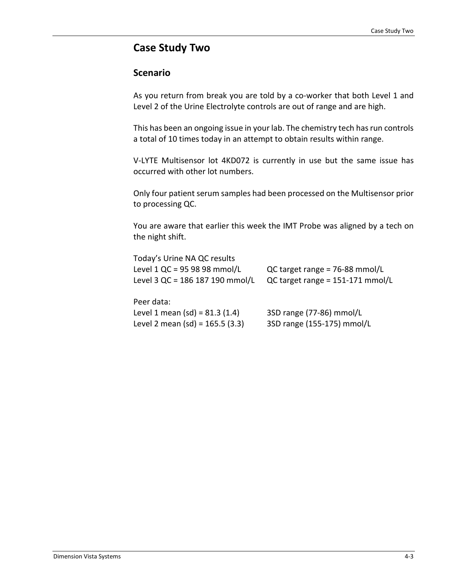#### **Case Study Two**

#### **Scenario**

As you return from break you are told by a co-worker that both Level 1 and Level 2 of the Urine Electrolyte controls are out of range and are high.

This has been an ongoing issue in your lab. The chemistry tech has run controls a total of 10 times today in an attempt to obtain results within range.

V-LYTE Multisensor lot 4KD072 is currently in use but the same issue has occurred with other lot numbers.

Only four patient serum samples had been processed on the Multisensor prior to processing QC.

You are aware that earlier this week the IMT Probe was aligned by a tech on the night shift.

| Today's Urine NA QC results       |                                  |
|-----------------------------------|----------------------------------|
| Level 1 QC = 95 98 98 mmol/L      | QC target range = $76-88$ mmol/L |
| Level 3 QC = 186 187 190 mmol/L   | QC target range = 151-171 mmol/L |
| Peer data:                        |                                  |
| Level 1 mean (sd) = $81.3$ (1.4)  | 3SD range (77-86) mmol/L         |
| Level 2 mean (sd) = $165.5$ (3.3) | 3SD range (155-175) mmol/L       |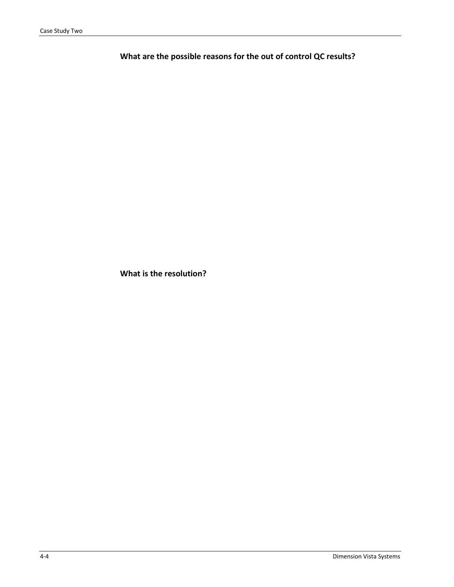**What are the possible reasons for the out of control QC results?** 

**What is the resolution?**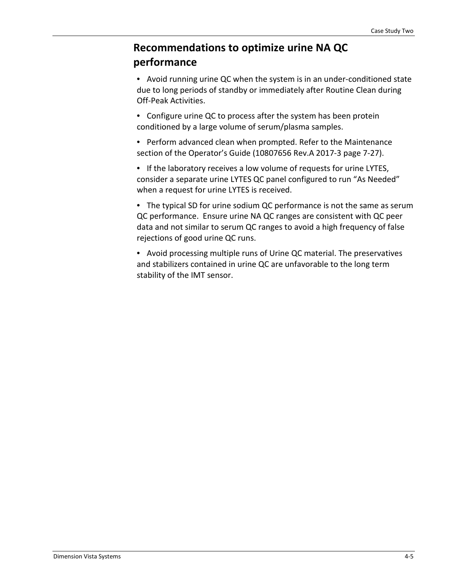# **Recommendations to optimize urine NA QC performance**

• Avoid running urine QC when the system is in an under-conditioned state due to long periods of standby or immediately after Routine Clean during Off-Peak Activities.

• Configure urine QC to process after the system has been protein conditioned by a large volume of serum/plasma samples.

• Perform advanced clean when prompted. Refer to the Maintenance section of the Operator's Guide (10807656 Rev.A 2017-3 page 7-27).

• If the laboratory receives a low volume of requests for urine LYTES, consider a separate urine LYTES QC panel configured to run "As Needed" when a request for urine LYTES is received.

• The typical SD for urine sodium QC performance is not the same as serum QC performance. Ensure urine NA QC ranges are consistent with QC peer data and not similar to serum QC ranges to avoid a high frequency of false rejections of good urine QC runs.

• Avoid processing multiple runs of Urine QC material. The preservatives and stabilizers contained in urine QC are unfavorable to the long term stability of the IMT sensor.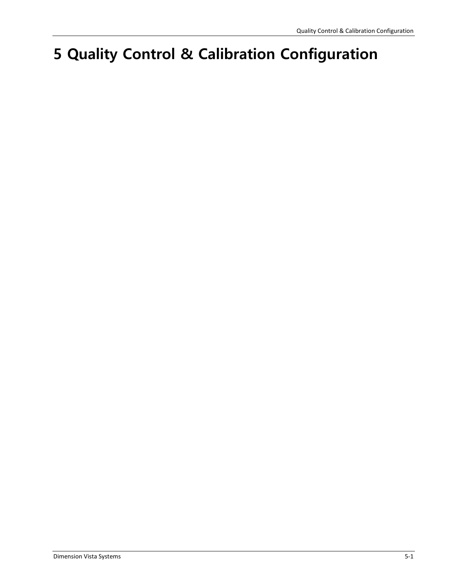# **5 Quality Control & Calibration Configuration**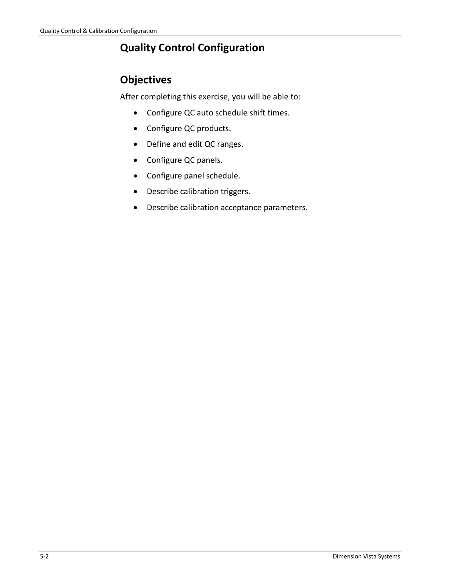# **Quality Control Configuration**

# **Objectives**

After completing this exercise, you will be able to:

- Configure QC auto schedule shift times.
- Configure QC products.
- Define and edit QC ranges.
- Configure QC panels.
- Configure panel schedule.
- Describe calibration triggers.
- Describe calibration acceptance parameters.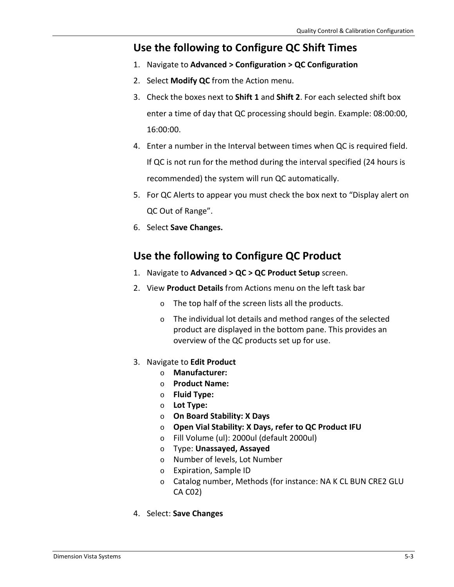#### **Use the following to Configure QC Shift Times**

- 1. Navigate to **Advanced > Configuration > QC Configuration**
- 2. Select **Modify QC** from the Action menu.
- 3. Check the boxes next to **Shift 1** and **Shift 2**. For each selected shift box enter a time of day that QC processing should begin. Example: 08:00:00, 16:00:00.
- 4. Enter a number in the Interval between times when QC is required field. If QC is not run for the method during the interval specified (24 hours is recommended) the system will run QC automatically.
- 5. For QC Alerts to appear you must check the box next to "Display alert on QC Out of Range".
- 6. Select **Save Changes.**

### **Use the following to Configure QC Product**

- 1. Navigate to **Advanced > QC > QC Product Setup** screen.
- 2. View **Product Details** from Actions menu on the left task bar
	- o The top half of the screen lists all the products.
	- o The individual lot details and method ranges of the selected product are displayed in the bottom pane. This provides an overview of the QC products set up for use.
- 3. Navigate to **Edit Product**
	- o **Manufacturer:**
	- o **Product Name:**
	- o **Fluid Type:**
	- o **Lot Type:**
	- o **On Board Stability: X Days**
	- o **Open Vial Stability: X Days, refer to QC Product IFU**
	- o Fill Volume (ul): 2000ul (default 2000ul)
	- o Type: **Unassayed, Assayed**
	- o Number of levels, Lot Number
	- o Expiration, Sample ID
	- o Catalog number, Methods (for instance: NA K CL BUN CRE2 GLU CA C02)
- 4. Select: **Save Changes**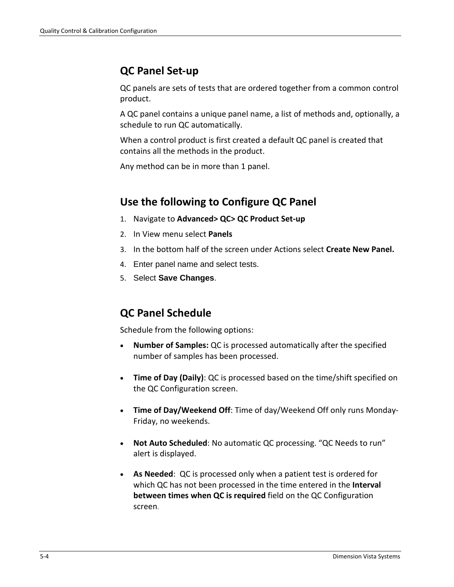# **QC Panel Set-up**

QC panels are sets of tests that are ordered together from a common control product.

A QC panel contains a unique panel name, a list of methods and, optionally, a schedule to run QC automatically.

When a control product is first created a default QC panel is created that contains all the methods in the product.

Any method can be in more than 1 panel.

# **Use the following to Configure QC Panel**

- 1. Navigate to **Advanced> QC> QC Product Set-up**
- 2. In View menu select **Panels**
- 3. In the bottom half of the screen under Actions select **Create New Panel.**
- 4. Enter panel name and select tests.
- 5. Select **Save Changes**.

### **QC Panel Schedule**

Schedule from the following options:

- **Number of Samples:** QC is processed automatically after the specified number of samples has been processed.
- **Time of Day (Daily)**: QC is processed based on the time/shift specified on the QC Configuration screen.
- **Time of Day/Weekend Off**: Time of day/Weekend Off only runs Monday-Friday, no weekends.
- **Not Auto Scheduled**: No automatic QC processing. "QC Needs to run" alert is displayed.
- **As Needed**: QC is processed only when a patient test is ordered for which QC has not been processed in the time entered in the **Interval between times when QC is required** field on the QC Configuration screen.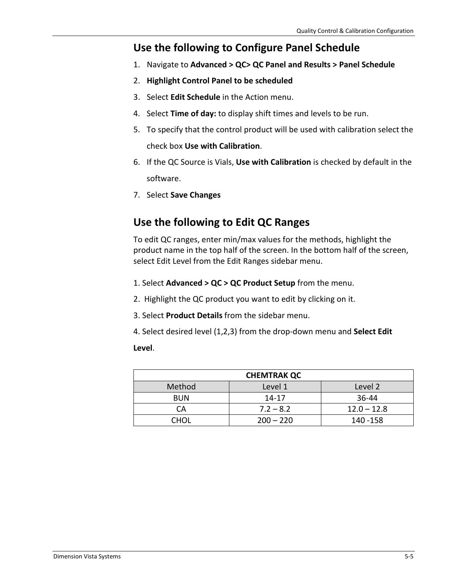### **Use the following to Configure Panel Schedule**

- 1. Navigate to **Advanced > QC> QC Panel and Results > Panel Schedule**
- 2. **Highlight Control Panel to be scheduled**
- 3. Select **Edit Schedule** in the Action menu.
- 4. Select **Time of day:** to display shift times and levels to be run.
- 5. To specify that the control product will be used with calibration select the check box **Use with Calibration**.
- 6. If the QC Source is Vials, **Use with Calibration** is checked by default in the software.
- 7. Select **Save Changes**

# **Use the following to Edit QC Ranges**

To edit QC ranges, enter min/max values for the methods, highlight the product name in the top half of the screen. In the bottom half of the screen, select Edit Level from the Edit Ranges sidebar menu.

- 1. Select **Advanced > QC > QC Product Setup** from the menu.
- 2. Highlight the QC product you want to edit by clicking on it.
- 3. Select **Product Details** from the sidebar menu.
- 4. Select desired level (1,2,3) from the drop-down menu and **Select Edit**

#### **Level**.

| <b>CHEMTRAK QC</b> |             |               |
|--------------------|-------------|---------------|
| Method             | Level 1     | Level 2       |
| <b>BUN</b>         | 14-17       | 36-44         |
| СA                 | $7.2 - 8.2$ | $12.0 - 12.8$ |
| CHOL               | $200 - 220$ | 140 - 158     |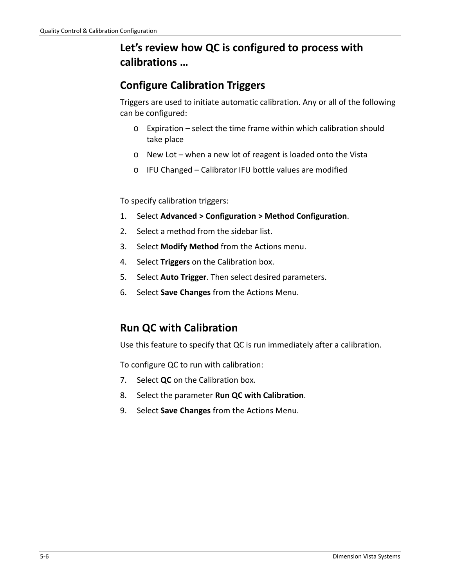# **Let's review how QC is configured to process with calibrations …**

# **Configure Calibration Triggers**

Triggers are used to initiate automatic calibration. Any or all of the following can be configured:

- o Expiration select the time frame within which calibration should take place
- o New Lot when a new lot of reagent is loaded onto the Vista
- o IFU Changed Calibrator IFU bottle values are modified

To specify calibration triggers:

- 1. Select **Advanced > Configuration > Method Configuration**.
- 2. Select a method from the sidebar list.
- 3. Select **Modify Method** from the Actions menu.
- 4. Select **Triggers** on the Calibration box.
- 5. Select **Auto Trigger**. Then select desired parameters.
- 6. Select **Save Changes** from the Actions Menu.

# **Run QC with Calibration**

Use this feature to specify that QC is run immediately after a calibration.

To configure QC to run with calibration:

- 7. Select **QC** on the Calibration box.
- 8. Select the parameter **Run QC with Calibration**.
- 9. Select **Save Changes** from the Actions Menu.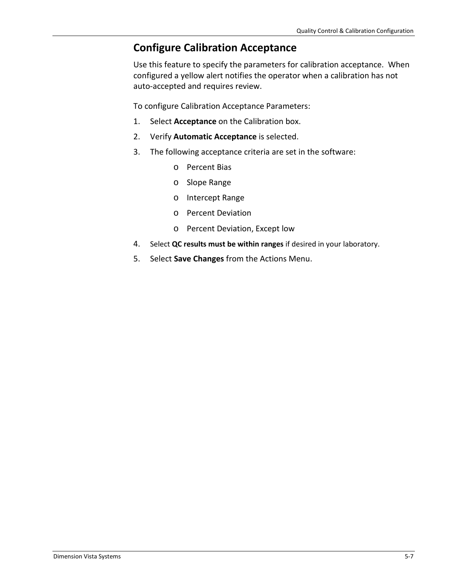# **Configure Calibration Acceptance**

Use this feature to specify the parameters for calibration acceptance. When configured a yellow alert notifies the operator when a calibration has not auto-accepted and requires review.

To configure Calibration Acceptance Parameters:

- 1. Select **Acceptance** on the Calibration box.
- 2. Verify **Automatic Acceptance** is selected.
- 3. The following acceptance criteria are set in the software:
	- o Percent Bias
	- o Slope Range
	- o Intercept Range
	- o Percent Deviation
	- o Percent Deviation, Except low
- 4. Select **QC results must be within ranges** if desired in your laboratory.
- 5. Select **Save Changes** from the Actions Menu.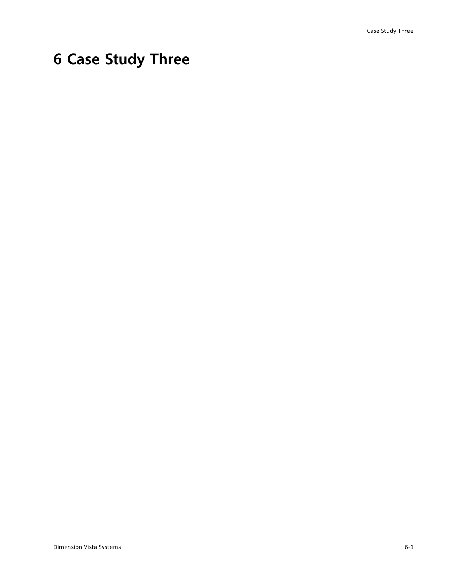# **6 Case Study Three**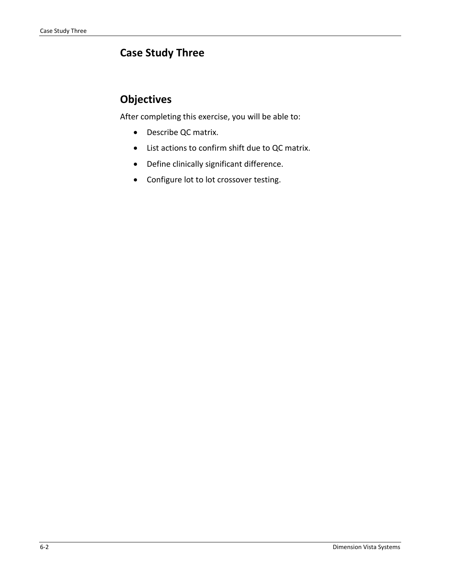# **Case Study Three**

# **Objectives**

After completing this exercise, you will be able to:

- Describe QC matrix.
- List actions to confirm shift due to QC matrix.
- Define clinically significant difference.
- Configure lot to lot crossover testing.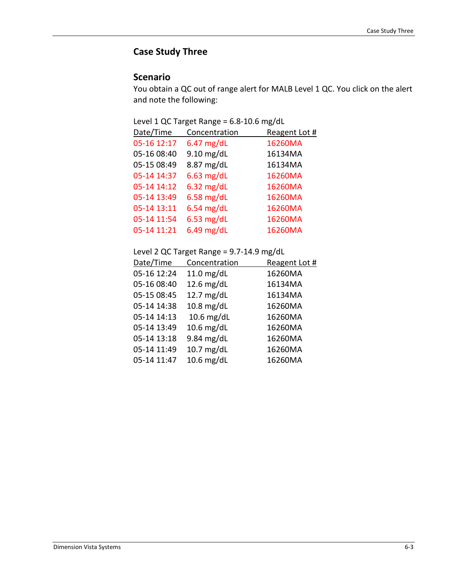#### **Case Study Three**

#### **Scenario**

You obtain a QC out of range alert for MALB Level 1 QC. You click on the alert and note the following:

|  | Level 1 QC Target Range = 6.8-10.6 mg/dL |  |  |
|--|------------------------------------------|--|--|
|--|------------------------------------------|--|--|

| Date/Time   | Concentration | Reagent Lot # |
|-------------|---------------|---------------|
| 05-16 12:17 | $6.47$ mg/dL  | 16260MA       |
| 05-16 08:40 | $9.10$ mg/dL  | 16134MA       |
| 05-15 08:49 | 8.87 mg/dL    | 16134MA       |
| 05-14 14:37 | $6.63$ mg/dL  | 16260MA       |
| 05-14 14:12 | $6.32$ mg/dL  | 16260MA       |
| 05-14 13:49 | $6.58$ mg/dL  | 16260MA       |
| 05-14 13:11 | $6.54$ mg/dL  | 16260MA       |
| 05-14 11:54 | $6.53$ mg/dL  | 16260MA       |
| 05-14 11:21 | $6.49$ mg/dL  | 16260MA       |

Level 2 QC Target Range = 9.7-14.9 mg/dL

| Date/Time   | Concentration | Reagent Lot # |
|-------------|---------------|---------------|
| 05-16 12:24 | $11.0$ mg/dL  | 16260MA       |
| 05-16 08:40 | 12.6 $mg/dL$  | 16134MA       |
| 05-15 08:45 | 12.7 mg/dL    | 16134MA       |
| 05-14 14:38 | $10.8$ mg/dL  | 16260MA       |
| 05-14 14:13 | $10.6$ mg/dL  | 16260MA       |
| 05-14 13:49 | $10.6$ mg/dL  | 16260MA       |
| 05-14 13:18 | 9.84 mg/dL    | 16260MA       |
| 05-14 11:49 | 10.7 mg/dL    | 16260MA       |
| 05-14 11:47 | 10.6 mg/dL    | 16260MA       |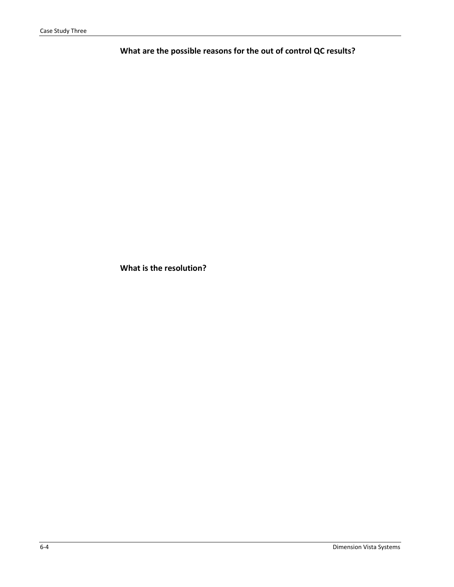**What are the possible reasons for the out of control QC results?** 

**What is the resolution?**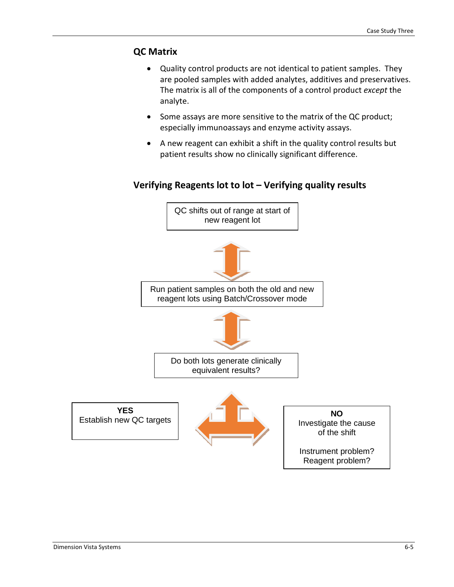#### **QC Matrix**

- Quality control products are not identical to patient samples. They are pooled samples with added analytes, additives and preservatives. The matrix is all of the components of a control product *except* the analyte.
- Some assays are more sensitive to the matrix of the QC product; especially immunoassays and enzyme activity assays.
- A new reagent can exhibit a shift in the quality control results but patient results show no clinically significant difference.

# **Verifying Reagents lot to lot – Verifying quality results**

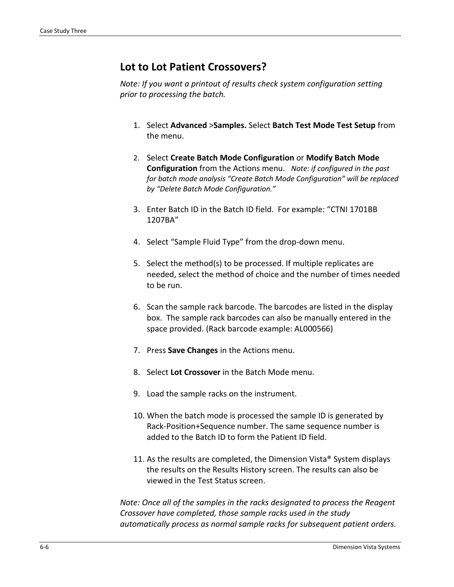#### **Lot to Lot Patient Crossovers?**

*Note: If you want a printout of results check system configuration setting prior to processing the batch.* 

- 1. Select **Advanced** >**Samples.** Select **Batch Test Mode Test Setup** from the menu.
- 2. Select **Create Batch Mode Configuration** or **Modify Batch Mode Configuration** from the Actions menu. *Note: if configured in the past for batch mode analysis "Create Batch Mode Configuration" will be replaced by "Delete Batch Mode Configuration."*
- 3. Enter Batch ID in the Batch ID field. For example: "CTNI 1701BB 1207BA"
- 4. Select "Sample Fluid Type" from the drop-down menu.
- 5. Select the method(s) to be processed. If multiple replicates are needed, select the method of choice and the number of times needed to be run.
- 6. Scan the sample rack barcode. The barcodes are listed in the display box. The sample rack barcodes can also be manually entered in the space provided. (Rack barcode example: AL000566)
- 7. Press **Save Changes** in the Actions menu.
- 8. Select **Lot Crossover** in the Batch Mode menu.
- 9. Load the sample racks on the instrument.
- 10. When the batch mode is processed the sample ID is generated by Rack-Position+Sequence number. The same sequence number is added to the Batch ID to form the Patient ID field.
- 11. As the results are completed, the Dimension Vista® System displays the results on the Results History screen. The results can also be viewed in the Test Status screen.

*Note: Once all of the samples in the racks designated to process the Reagent Crossover have completed, those sample racks used in the study automatically process as normal sample racks for subsequent patient orders.*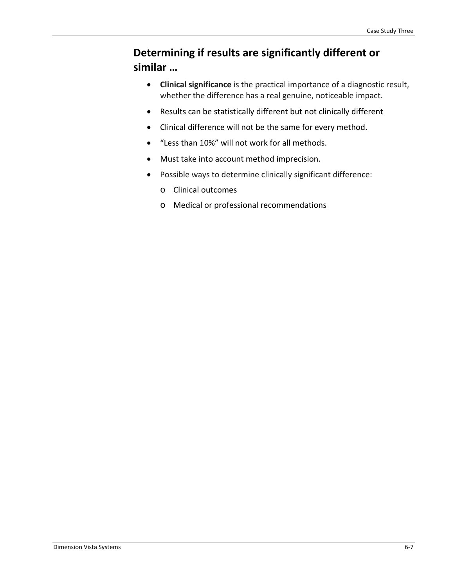# **Determining if results are significantly different or similar …**

- **Clinical significance** is the practical importance of a diagnostic result, whether the difference has a real genuine, noticeable impact.
- Results can be statistically different but not clinically different
- Clinical difference will not be the same for every method.
- "Less than 10%" will not work for all methods.
- Must take into account method imprecision.
- Possible ways to determine clinically significant difference:
	- o Clinical outcomes
	- o Medical or professional recommendations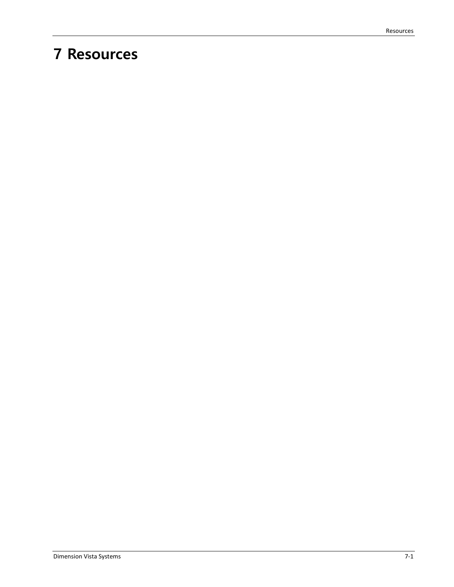# **7 Resources**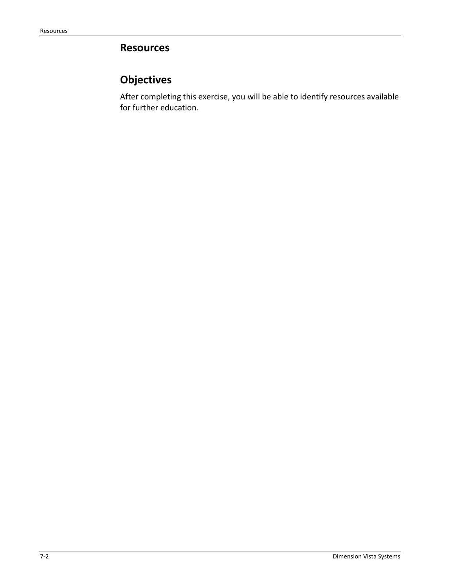# **Resources**

# **Objectives**

After completing this exercise, you will be able to identify resources available for further education.